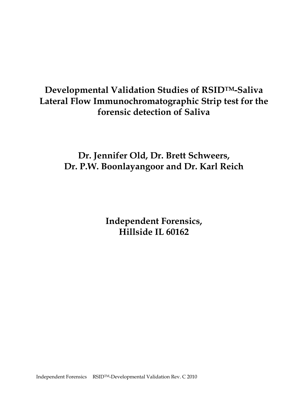## **Developmental Validation Studies of RSIDTM-Saliva Lateral Flow Immunochromatographic Strip test for the forensic detection of Saliva**

## **Dr. Jennifer Old, Dr. Brett Schweers, Dr. P.W. Boonlayangoor and Dr. Karl Reich**

**Independent Forensics, Hillside IL 60162**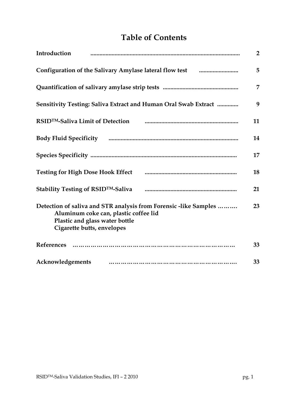## **Table of Contents**

| Introduction                                                                                                                                                              | $\overline{2}$ |
|---------------------------------------------------------------------------------------------------------------------------------------------------------------------------|----------------|
| Configuration of the Salivary Amylase lateral flow test <b>manual</b> manuscrition                                                                                        | 5              |
|                                                                                                                                                                           | 7              |
| Sensitivity Testing: Saliva Extract and Human Oral Swab Extract                                                                                                           | 9              |
| RSID <sup>TM</sup> -Saliva Limit of Detection                                                                                                                             | 11             |
|                                                                                                                                                                           | 14             |
|                                                                                                                                                                           | 17             |
| <b>Testing for High Dose Hook Effect</b>                                                                                                                                  | 18             |
| Stability Testing of RSID <sup>TM</sup> -Saliva                                                                                                                           | 21             |
| Detection of saliva and STR analysis from Forensic -like Samples<br>Aluminum coke can, plastic coffee lid<br>Plastic and glass water bottle<br>Cigarette butts, envelopes | 23             |
| References                                                                                                                                                                | 33             |
| Acknowledgements                                                                                                                                                          | 33             |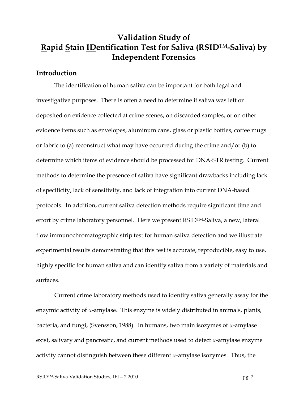## **Validation Study of Rapid Stain IDentification Test for Saliva (RSID**TM**-Saliva) by Independent Forensics**

### **Introduction**

 The identification of human saliva can be important for both legal and investigative purposes. There is often a need to determine if saliva was left or deposited on evidence collected at crime scenes, on discarded samples, or on other evidence items such as envelopes, aluminum cans, glass or plastic bottles, coffee mugs or fabric to (a) reconstruct what may have occurred during the crime and/or (b) to determine which items of evidence should be processed for DNA-STR testing. Current methods to determine the presence of saliva have significant drawbacks including lack of specificity, lack of sensitivity, and lack of integration into current DNA-based protocols. In addition, current saliva detection methods require significant time and effort by crime laboratory personnel. Here we present RSID<sup>TM</sup>-Saliva, a new, lateral flow immunochromatographic strip test for human saliva detection and we illustrate experimental results demonstrating that this test is accurate, reproducible, easy to use, highly specific for human saliva and can identify saliva from a variety of materials and surfaces.

 Current crime laboratory methods used to identify saliva generally assay for the enzymic activity of  $\alpha$ -amylase. This enzyme is widely distributed in animals, plants, bacteria, and fungi, (Svensson, 1988). In humans, two main isozymes of α-amylase exist, salivary and pancreatic, and current methods used to detect  $\alpha$ -amylase enzyme activity cannot distinguish between these different  $\alpha$ -amylase isozymes. Thus, the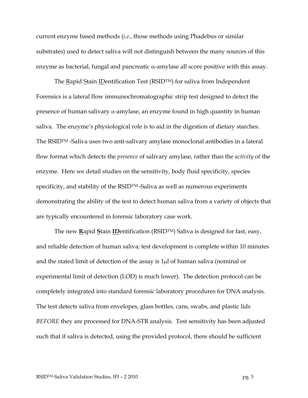current enzyme based methods (*i.e.*, those methods using Phadebus or similar substrates) used to detect saliva will not distinguish between the many sources of this enzyme as bacterial, fungal and pancreatic  $\alpha$ -amylase all score positive with this assay.

The Rapid Stain IDentification Test (RSIDTM) for saliva from Independent Forensics is a lateral flow immunochromatographic strip test designed to detect the presence of human salivary α-amylase, an enzyme found in high quantity in human saliva. The enzyme's physiological role is to aid in the digestion of dietary starches. The RSIDTM -Saliva uses two anti-salivary amylase monoclonal antibodies in a lateral flow format which detects the *presence* of salivary amylase, rather than the *activity* of the enzyme. Here we detail studies on the sensitivity, body fluid specificity, species specificity, and stability of the RSID<sup>TM</sup>-Saliva as well as numerous experiments demonstrating the ability of the test to detect human saliva from a variety of objects that are typically encountered in forensic laboratory case work.

 The new **R**apid **S**tain **ID**entification (RSIDTM) Saliva is designed for fast, easy, and reliable detection of human saliva; test development is complete within 10 minutes and the stated limit of detection of the assay is 1µl of human saliva (nominal or experimental limit of detection (LOD) is much lower). The detection protocol can be completely integrated into standard forensic laboratory procedures for DNA analysis. The test detects saliva from envelopes, glass bottles, cans, swabs, and plastic lids *BEFORE* they are processed for DNA-STR analysis. Test sensitivity has been adjusted such that if saliva is detected, using the provided protocol, there should be sufficient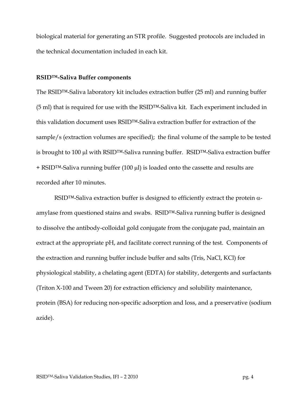biological material for generating an STR profile. Suggested protocols are included in the technical documentation included in each kit.

### **RSID™-Saliva Buffer components**

The RSID™-Saliva laboratory kit includes extraction buffer (25 ml) and running buffer (5 ml) that is required for use with the RSID™-Saliva kit. Each experiment included in this validation document uses RSID™-Saliva extraction buffer for extraction of the sample/s (extraction volumes are specified); the final volume of the sample to be tested is brought to 100 µl with RSID™-Saliva running buffer. RSID™-Saliva extraction buffer + RSID™-Saliva running buffer (100 µl) is loaded onto the cassette and results are recorded after 10 minutes.

RSID™-Saliva extraction buffer is designed to efficiently extract the protein αamylase from questioned stains and swabs. RSID™-Saliva running buffer is designed to dissolve the antibody-colloidal gold conjugate from the conjugate pad, maintain an extract at the appropriate pH, and facilitate correct running of the test. Components of the extraction and running buffer include buffer and salts (Tris, NaCl, KCl) for physiological stability, a chelating agent (EDTA) for stability, detergents and surfactants (Triton X-100 and Tween 20) for extraction efficiency and solubility maintenance, protein (BSA) for reducing non-specific adsorption and loss, and a preservative (sodium azide).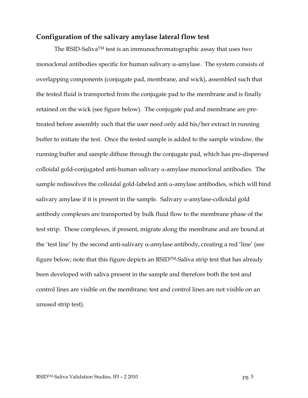## **Configuration of the salivary amylase lateral flow test**

The RSID-SalivaTM test is an immunochromatographic assay that uses two monoclonal antibodies specific for human salivary  $\alpha$ -amylase. The system consists of overlapping components (conjugate pad, membrane, and wick), assembled such that the tested fluid is transported from the conjugate pad to the membrane and is finally retained on the wick (see figure below). The conjugate pad and membrane are pretreated before assembly such that the user need only add his/her extract in running buffer to initiate the test. Once the tested sample is added to the sample window, the running buffer and sample diffuse through the conjugate pad, which has pre-dispersed colloidal gold-conjugated anti-human salivary α-amylase monoclonal antibodies. The sample redissolves the colloidal gold-labeled anti  $\alpha$ -amylase antibodies, which will bind salivary amylase if it is present in the sample. Salivary  $\alpha$ -amylase-colloidal gold antibody complexes are transported by bulk fluid flow to the membrane phase of the test strip. These complexes, if present, migrate along the membrane and are bound at the 'test line' by the second anti-salivary α-amylase antibody, creating a red 'line' (see figure below; note that this figure depicts an RSIDTM-Saliva strip test that has already been developed with saliva present in the sample and therefore both the test and control lines are visible on the membrane; test and control lines are not visible on an unused strip test).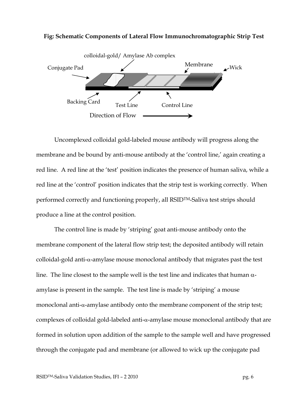

#### **Fig: Schematic Components of Lateral Flow Immunochromatographic Strip Test**

 Uncomplexed colloidal gold-labeled mouse antibody will progress along the membrane and be bound by anti-mouse antibody at the 'control line,' again creating a red line. A red line at the 'test' position indicates the presence of human saliva, while a red line at the 'control' position indicates that the strip test is working correctly. When performed correctly and functioning properly, all RSIDTM-Saliva test strips should produce a line at the control position.

The control line is made by 'striping' goat anti-mouse antibody onto the membrane component of the lateral flow strip test; the deposited antibody will retain colloidal-gold anti-α-amylase mouse monoclonal antibody that migrates past the test line. The line closest to the sample well is the test line and indicates that human  $α$ amylase is present in the sample. The test line is made by 'striping' a mouse monoclonal anti-α-amylase antibody onto the membrane component of the strip test; complexes of colloidal gold-labeled anti-α-amylase mouse monoclonal antibody that are formed in solution upon addition of the sample to the sample well and have progressed through the conjugate pad and membrane (or allowed to wick up the conjugate pad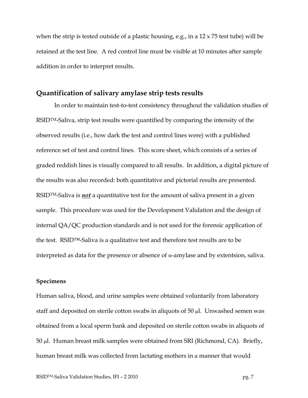when the strip is tested outside of a plastic housing, e.g., in a 12 x 75 test tube) will be retained at the test line. A red control line must be visible at 10 minutes after sample addition in order to interpret results.

### **Quantification of salivary amylase strip tests results**

 In order to maintain test-to-test consistency throughout the validation studies of RSIDTM-Saliva, strip test results were quantified by comparing the intensity of the observed results (i.e., how dark the test and control lines were) with a published reference set of test and control lines. This score sheet, which consists of a series of graded reddish lines is visually compared to all results. In addition, a digital picture of the results was also recorded: both quantitative and pictorial results are presented. RSIDTM-Saliva is *not* a quantitative test for the amount of saliva present in a given sample. This procedure was used for the Development Validation and the design of internal QA/QC production standards and is not used for the forensic application of the test. RSID™-Saliva is a qualitative test and therefore test results are to be interpreted as data for the presence or absence of  $\alpha$ -amylase and by extentsion, saliva.

#### **Specimens**

Human saliva, blood, and urine samples were obtained voluntarily from laboratory staff and deposited on sterile cotton swabs in aliquots of 50 µl. Unwashed semen was obtained from a local sperm bank and deposited on sterile cotton swabs in aliquots of 50 µl. Human breast milk samples were obtained from SRI (Richmond, CA). Briefly, human breast milk was collected from lactating mothers in a manner that would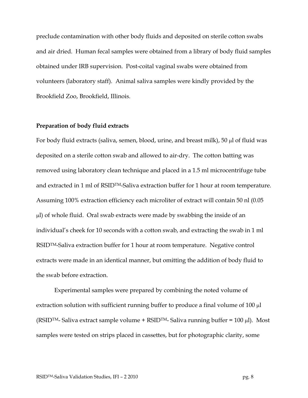preclude contamination with other body fluids and deposited on sterile cotton swabs and air dried. Human fecal samples were obtained from a library of body fluid samples obtained under IRB supervision. Post-coital vaginal swabs were obtained from volunteers (laboratory staff). Animal saliva samples were kindly provided by the Brookfield Zoo, Brookfield, Illinois.

#### **Preparation of body fluid extracts**

For body fluid extracts (saliva, semen, blood, urine, and breast milk), 50 µl of fluid was deposited on a sterile cotton swab and allowed to air-dry. The cotton batting was removed using laboratory clean technique and placed in a 1.5 ml microcentrifuge tube and extracted in 1 ml of RSIDTM-Saliva extraction buffer for 1 hour at room temperature. Assuming 100% extraction efficiency each microliter of extract will contain 50 nl (0.05 µl) of whole fluid. Oral swab extracts were made by swabbing the inside of an individual's cheek for 10 seconds with a cotton swab, and extracting the swab in 1 ml RSIDTM-Saliva extraction buffer for 1 hour at room temperature. Negative control extracts were made in an identical manner, but omitting the addition of body fluid to the swab before extraction.

Experimental samples were prepared by combining the noted volume of extraction solution with sufficient running buffer to produce a final volume of 100 µl (RSID<sup>TM</sup>- Saliva extract sample volume + RSID<sup>TM</sup>- Saliva running buffer = 100 µl). Most samples were tested on strips placed in cassettes, but for photographic clarity, some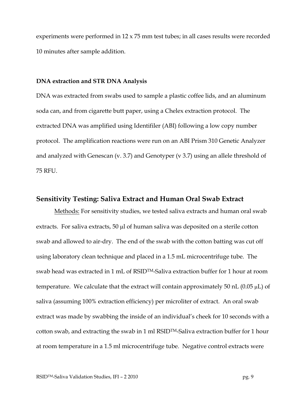experiments were performed in 12 x 75 mm test tubes; in all cases results were recorded 10 minutes after sample addition.

#### **DNA extraction and STR DNA Analysis**

DNA was extracted from swabs used to sample a plastic coffee lids, and an aluminum soda can, and from cigarette butt paper, using a Chelex extraction protocol. The extracted DNA was amplified using Identifiler (ABI) following a low copy number protocol. The amplification reactions were run on an ABI Prism 310 Genetic Analyzer and analyzed with Genescan (v. 3.7) and Genotyper (v 3.7) using an allele threshold of 75 RFU.

### **Sensitivity Testing: Saliva Extract and Human Oral Swab Extract**

Methods: For sensitivity studies, we tested saliva extracts and human oral swab extracts. For saliva extracts, 50 µl of human saliva was deposited on a sterile cotton swab and allowed to air-dry. The end of the swab with the cotton batting was cut off using laboratory clean technique and placed in a 1.5 mL microcentrifuge tube. The swab head was extracted in 1 mL of RSIDTM-Saliva extraction buffer for 1 hour at room temperature. We calculate that the extract will contain approximately 50 nL  $(0.05 \mu L)$  of saliva (assuming 100% extraction efficiency) per microliter of extract. An oral swab extract was made by swabbing the inside of an individual's cheek for 10 seconds with a cotton swab, and extracting the swab in 1 ml RSIDTM-Saliva extraction buffer for 1 hour at room temperature in a 1.5 ml microcentrifuge tube. Negative control extracts were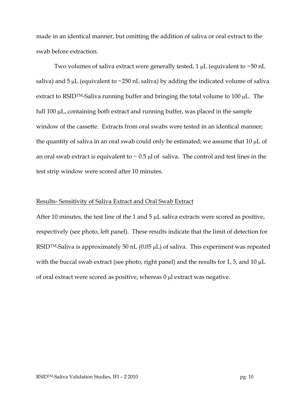made in an identical manner, but omitting the addition of saliva or oral extract to the swab before extraction.

Two volumes of saliva extract were generally tested,  $1 \mu$ L (equivalent to  $\sim 50 \text{ nL}$ saliva) and 5  $\mu$ L (equivalent to  $\sim$ 250 nL saliva) by adding the indicated volume of saliva extract to RSIDTM-Saliva running buffer and bringing the total volume to 100 µL. The full 100 µL, containing both extract and running buffer, was placed in the sample window of the cassette. Extracts from oral swabs were tested in an identical manner; the quantity of saliva in an oral swab could only be estimated; we assume that  $10 \mu L$  of an oral swab extract is equivalent to  $\sim$  0.5 µl of saliva. The control and test lines in the test strip window were scored after 10 minutes.

#### Results- Sensitivity of Saliva Extract and Oral Swab Extract

After 10 minutes, the test line of the 1 and 5  $\mu$ L saliva extracts were scored as positive, respectively (see photo, left panel). These results indicate that the limit of detection for RSID<sup>TM</sup>-Saliva is approximately 50 nL (0.05  $\mu$ L) of saliva. This experiment was repeated with the buccal swab extract (see photo, right panel) and the results for 1, 5, and 10 µL of oral extract were scored as positive, whereas  $0 \mu$ l extract was negative.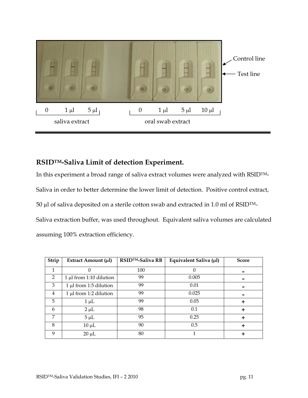

## **RSIDTM-Saliva Limit of detection Experiment.**

In this experiment a broad range of saliva extract volumes were analyzed with RSIDTM-

Saliva in order to better determine the lower limit of detection. Positive control extract,

50  $\mu$ l of saliva deposited on a sterile cotton swab and extracted in 1.0 ml of RSID<sup>TM</sup>-

Saliva extraction buffer, was used throughout. Equivalent saliva volumes are calculated assuming 100% extraction efficiency.

| Strip         | Extract Amount (µ1)       | RSID <sup>™</sup> -Saliva RB | Equivalent Saliva (µl) | <b>Score</b> |
|---------------|---------------------------|------------------------------|------------------------|--------------|
| 1             |                           | 100                          |                        |              |
| $\mathcal{P}$ | 1 µl from 1:10 dilution   | 99                           | 0.005                  |              |
| 3             | 1 µl from 1:5 dilution    | 99                           | 0.01                   |              |
| 4             | $1 \mu$ from 1:2 dilution | 99                           | 0.025                  |              |
| 5             | $1 \mu L$                 | 99                           | 0.05                   |              |
| 6             | $2 \mu L$                 | 98                           | 0.1                    |              |
| 7             | $5 \mu L$                 | 95                           | 0.25                   |              |
| 8             | $10 \mu L$                | 90                           | 0.5                    |              |
| $\mathbf Q$   | $20 \mu L$                | 80                           |                        |              |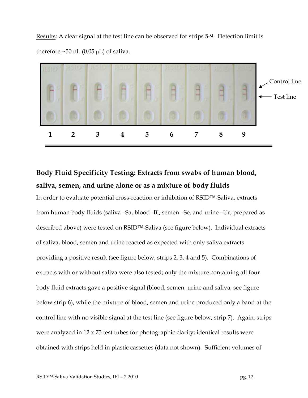Results: A clear signal at the test line can be observed for strips 5-9. Detection limit is therefore  $\sim$ 50 nL (0.05 µL) of saliva.



## **Body Fluid Specificity Testing: Extracts from swabs of human blood, saliva, semen, and urine alone or as a mixture of body fluids**

In order to evaluate potential cross-reaction or inhibition of RSID™-Saliva, extracts from human body fluids (saliva –Sa, blood -Bl, semen –Se, and urine –Ur, prepared as described above) were tested on RSID™-Saliva (see figure below). Individual extracts of saliva, blood, semen and urine reacted as expected with only saliva extracts providing a positive result (see figure below, strips 2, 3, 4 and 5). Combinations of extracts with or without saliva were also tested; only the mixture containing all four body fluid extracts gave a positive signal (blood, semen, urine and saliva, see figure below strip 6), while the mixture of blood, semen and urine produced only a band at the control line with no visible signal at the test line (see figure below, strip 7). Again, strips were analyzed in 12 x 75 test tubes for photographic clarity; identical results were obtained with strips held in plastic cassettes (data not shown). Sufficient volumes of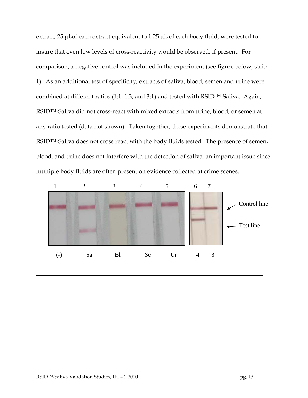extract, 25 µLof each extract equivalent to 1.25 µL of each body fluid, were tested to insure that even low levels of cross-reactivity would be observed, if present. For comparison, a negative control was included in the experiment (see figure below, strip 1). As an additional test of specificity, extracts of saliva, blood, semen and urine were combined at different ratios (1:1, 1:3, and 3:1) and tested with RSIDTM-Saliva. Again, RSIDTM-Saliva did not cross-react with mixed extracts from urine, blood, or semen at any ratio tested (data not shown). Taken together, these experiments demonstrate that RSID<sup>TM</sup>-Saliva does not cross react with the body fluids tested. The presence of semen, blood, and urine does not interfere with the detection of saliva, an important issue since multiple body fluids are often present on evidence collected at crime scenes.

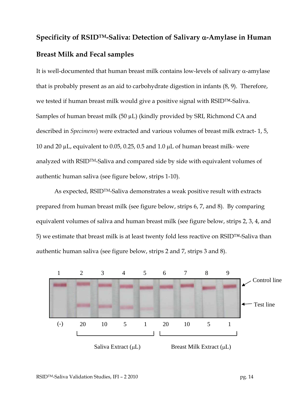# **Specificity of RSIDTM-Saliva: Detection of Salivary** α**-Amylase in Human Breast Milk and Fecal samples**

It is well-documented that human breast milk contains low-levels of salivary  $\alpha$ -amylase that is probably present as an aid to carbohydrate digestion in infants (8, 9). Therefore, we tested if human breast milk would give a positive signal with RSID™-Saliva. Samples of human breast milk (50 µL) (kindly provided by SRI, Richmond CA and described in *Specimens*) were extracted and various volumes of breast milk extract- 1, 5, 10 and 20  $\mu$ L, equivalent to 0.05, 0.25, 0.5 and 1.0  $\mu$ L of human breast milk- were analyzed with RSIDTM-Saliva and compared side by side with equivalent volumes of authentic human saliva (see figure below, strips 1-10).

As expected, RSIDTM-Saliva demonstrates a weak positive result with extracts prepared from human breast milk (see figure below, strips 6, 7, and 8). By comparing equivalent volumes of saliva and human breast milk (see figure below, strips 2, 3, 4, and 5) we estimate that breast milk is at least twenty fold less reactive on RSID™-Saliva than authentic human saliva (see figure below, strips 2 and 7, strips 3 and 8).

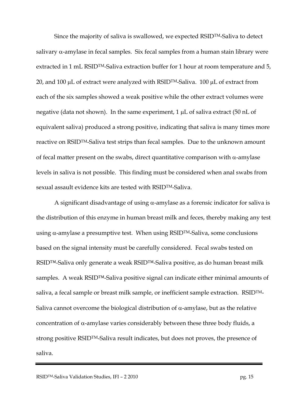Since the majority of saliva is swallowed, we expected RSIDTM-Saliva to detect salivary  $\alpha$ -amylase in fecal samples. Six fecal samples from a human stain library were extracted in 1 mL RSID<sup>TM</sup>-Saliva extraction buffer for 1 hour at room temperature and 5, 20, and 100  $\mu$ L of extract were analyzed with RSID<sup>TM</sup>-Saliva. 100  $\mu$ L of extract from each of the six samples showed a weak positive while the other extract volumes were negative (data not shown). In the same experiment,  $1 \mu$ L of saliva extract (50 nL of equivalent saliva) produced a strong positive, indicating that saliva is many times more reactive on RSIDTM-Saliva test strips than fecal samples. Due to the unknown amount of fecal matter present on the swabs, direct quantitative comparison with  $\alpha$ -amylase levels in saliva is not possible. This finding must be considered when anal swabs from sexual assault evidence kits are tested with RSIDTM-Saliva.

A significant disadvantage of using  $\alpha$ -amylase as a forensic indicator for saliva is the distribution of this enzyme in human breast milk and feces, thereby making any test using  $\alpha$ -amylase a presumptive test. When using RSID<sup>TM</sup>-Saliva, some conclusions based on the signal intensity must be carefully considered. Fecal swabs tested on RSID™-Saliva only generate a weak RSID™-Saliva positive, as do human breast milk samples. A weak RSID™-Saliva positive signal can indicate either minimal amounts of saliva, a fecal sample or breast milk sample, or inefficient sample extraction. RSID<sup>TM</sup>-Saliva cannot overcome the biological distribution of  $\alpha$ -amylase, but as the relative concentration of α-amylase varies considerably between these three body fluids, a strong positive RSIDTM-Saliva result indicates, but does not proves, the presence of saliva.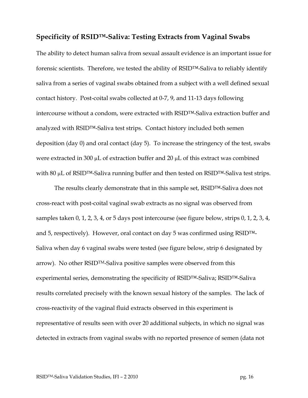## **Specificity of RSID™-Saliva: Testing Extracts from Vaginal Swabs**

The ability to detect human saliva from sexual assault evidence is an important issue for forensic scientists. Therefore, we tested the ability of RSID™-Saliva to reliably identify saliva from a series of vaginal swabs obtained from a subject with a well defined sexual contact history. Post-coital swabs collected at 0-7, 9, and 11-13 days following intercourse without a condom, were extracted with RSID™-Saliva extraction buffer and analyzed with RSID™-Saliva test strips. Contact history included both semen deposition (day 0) and oral contact (day 5). To increase the stringency of the test, swabs were extracted in 300  $\mu$ L of extraction buffer and 20  $\mu$ L of this extract was combined with 80 µL of RSID™-Saliva running buffer and then tested on RSID™-Saliva test strips.

The results clearly demonstrate that in this sample set, RSID™-Saliva does not cross-react with post-coital vaginal swab extracts as no signal was observed from samples taken 0, 1, 2, 3, 4, or 5 days post intercourse (see figure below, strips 0, 1, 2, 3, 4, and 5, respectively). However, oral contact on day 5 was confirmed using RSID™- Saliva when day 6 vaginal swabs were tested (see figure below, strip 6 designated by arrow). No other RSID<sup>TM</sup>-Saliva positive samples were observed from this experimental series, demonstrating the specificity of RSID™-Saliva; RSID™-Saliva results correlated precisely with the known sexual history of the samples. The lack of cross-reactivity of the vaginal fluid extracts observed in this experiment is representative of results seen with over 20 additional subjects, in which no signal was detected in extracts from vaginal swabs with no reported presence of semen (data not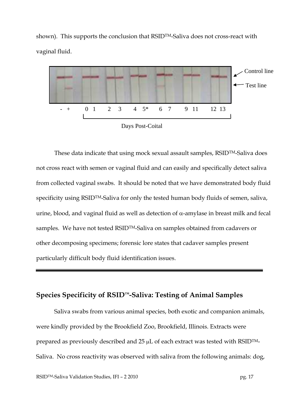shown). This supports the conclusion that RSID<sup>TM</sup>-Saliva does not cross-react with vaginal fluid.



These data indicate that using mock sexual assault samples, RSIDTM-Saliva does not cross react with semen or vaginal fluid and can easily and specifically detect saliva from collected vaginal swabs. It should be noted that we have demonstrated body fluid specificity using RSID<sup>TM</sup>-Saliva for only the tested human body fluids of semen, saliva, urine, blood, and vaginal fluid as well as detection of  $\alpha$ -amylase in breast milk and fecal samples. We have not tested RSIDTM-Saliva on samples obtained from cadavers or other decomposing specimens; forensic lore states that cadaver samples present particularly difficult body fluid identification issues.

## **Species Specificity of RSID™-Saliva: Testing of Animal Samples**

Saliva swabs from various animal species, both exotic and companion animals, were kindly provided by the Brookfield Zoo, Brookfield, Illinois. Extracts were prepared as previously described and  $25 \mu L$  of each extract was tested with RSID<sup>TM</sup>-Saliva. No cross reactivity was observed with saliva from the following animals: dog,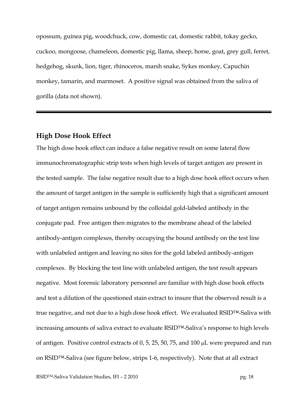opossum, guinea pig, woodchuck, cow, domestic cat, domestic rabbit, tokay gecko, cuckoo, mongoose, chameleon, domestic pig, llama, sheep, horse, goat, grey gull, ferret, hedgehog, skunk, lion, tiger, rhinoceros, marsh snake, Sykes monkey, Capuchin monkey, tamarin, and marmoset. A positive signal was obtained from the saliva of gorilla (data not shown).

### **High Dose Hook Effect**

The high dose hook effect can induce a false negative result on some lateral flow immunochromatographic strip tests when high levels of target antigen are present in the tested sample. The false negative result due to a high dose hook effect occurs when the amount of target antigen in the sample is sufficiently high that a significant amount of target antigen remains unbound by the colloidal gold-labeled antibody in the conjugate pad. Free antigen then migrates to the membrane ahead of the labeled antibody-antigen complexes, thereby occupying the bound antibody on the test line with unlabeled antigen and leaving no sites for the gold labeled antibody-antigen complexes. By blocking the test line with unlabeled antigen, the test result appears negative. Most forensic laboratory personnel are familiar with high dose hook effects and test a dilution of the questioned stain extract to insure that the observed result is a true negative, and not due to a high dose hook effect. We evaluated RSID™-Saliva with increasing amounts of saliva extract to evaluate RSID™-Saliva's response to high levels of antigen. Positive control extracts of 0, 5, 25, 50, 75, and 100 µL were prepared and run on RSID™-Saliva (see figure below, strips 1-6, respectively). Note that at all extract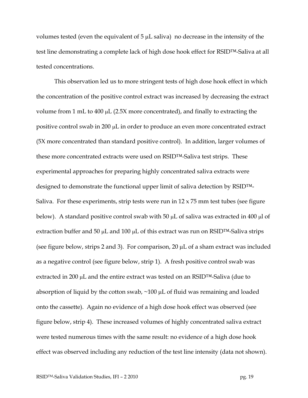volumes tested (even the equivalent of  $5 \mu$ L saliva) no decrease in the intensity of the test line demonstrating a complete lack of high dose hook effect for RSID™-Saliva at all tested concentrations.

This observation led us to more stringent tests of high dose hook effect in which the concentration of the positive control extract was increased by decreasing the extract volume from 1 mL to 400 µL (2.5X more concentrated), and finally to extracting the positive control swab in 200 µL in order to produce an even more concentrated extract (5X more concentrated than standard positive control). In addition, larger volumes of these more concentrated extracts were used on RSID™-Saliva test strips. These experimental approaches for preparing highly concentrated saliva extracts were designed to demonstrate the functional upper limit of saliva detection by RSID™- Saliva. For these experiments, strip tests were run in  $12 \times 75$  mm test tubes (see figure below). A standard positive control swab with 50  $\mu$ L of saliva was extracted in 400  $\mu$ l of extraction buffer and 50  $\mu$ L and 100  $\mu$ L of this extract was run on RSID<sup>TM</sup>-Saliva strips (see figure below, strips 2 and 3). For comparison, 20 µL of a sham extract was included as a negative control (see figure below, strip 1). A fresh positive control swab was extracted in 200 µL and the entire extract was tested on an RSID™-Saliva (due to absorption of liquid by the cotton swab, ~100 µL of fluid was remaining and loaded onto the cassette). Again no evidence of a high dose hook effect was observed (see figure below, strip 4). These increased volumes of highly concentrated saliva extract were tested numerous times with the same result: no evidence of a high dose hook effect was observed including any reduction of the test line intensity (data not shown).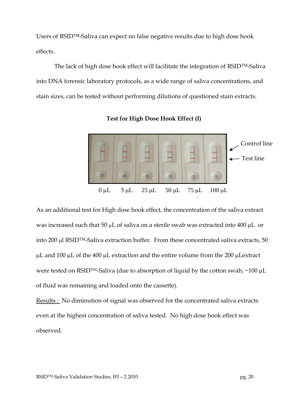Users of RSID™-Saliva can expect no false negative results due to high dose hook effects.

 The lack of high dose hook effect will facilitate the integration of RSIDTM-Saliva into DNA forensic laboratory protocols, as a wide range of saliva concentrations, and stain sizes, can be tested without performing dilutions of questioned stain extracts.



**Test for High Dose Hook Effect (I)** 

As an additional test for High dose hook effect, the concentration of the saliva extract was increased such that 50  $\mu$ L of saliva on a sterile swab was extracted into 400  $\mu$ L or into 200 µl RSIDTM-Saliva extraction buffer. From these concentrated saliva extracts, 50 µL and 100 µL of the 400 µL extraction and the entire volume from the 200 µLextract were tested on RSID<sup>TM</sup>-Saliva (due to absorption of liquid by the cotton swab, ~100 µL of fluid was remaining and loaded onto the cassette).

Results : No diminution of signal was observed for the concentrated saliva extracts even at the highest concentration of saliva tested. No high dose hook effect was observed.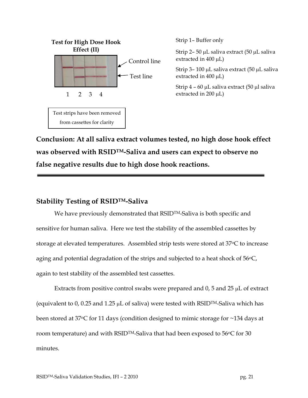

**Conclusion: At all saliva extract volumes tested, no high dose hook effect was observed with RSIDTM-Saliva and users can expect to observe no false negative results due to high dose hook reactions.**

## **Stability Testing of RSIDTM-Saliva**

We have previously demonstrated that RSID<sup>TM</sup>-Saliva is both specific and sensitive for human saliva. Here we test the stability of the assembled cassettes by storage at elevated temperatures. Assembled strip tests were stored at 37°C to increase aging and potential degradation of the strips and subjected to a heat shock of  $56^{\circ}$ C, again to test stability of the assembled test cassettes.

Extracts from positive control swabs were prepared and 0, 5 and 25 µL of extract (equivalent to 0, 0.25 and 1.25  $\mu$ L of saliva) were tested with RSID<sup>TM</sup>-Saliva which has been stored at 37 $\degree$ C for 11 days (condition designed to mimic storage for  $\sim$ 134 days at room temperature) and with RSID<sup>TM</sup>-Saliva that had been exposed to  $56^{\circ}$ C for 30 minutes.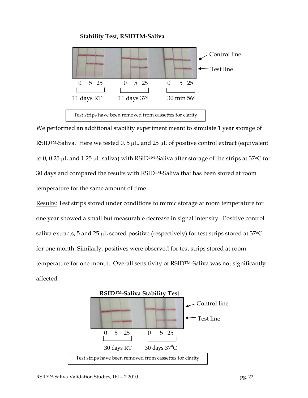### **Stability Test, RSIDTM-Saliva**



We performed an additional stability experiment meant to simulate 1 year storage of RSID<sup>TM</sup>-Saliva. Here we tested 0, 5  $\mu$ L, and 25  $\mu$ L of positive control extract (equivalent to 0, 0.25 µL and 1.25 µL saliva) with RSIDTM-Saliva after storage of the strips at 37<sup>o</sup>C for 30 days and compared the results with RSIDTM-Saliva that has been stored at room temperature for the same amount of time.

Results: Test strips stored under conditions to mimic storage at room temperature for one year showed a small but measurable decrease in signal intensity. Positive control saliva extracts, 5 and 25  $\mu$ L scored positive (respectively) for test strips stored at 37 $\degree$ C for one month. Similarly, positives were observed for test strips stored at room temperature for one month. Overall sensitivity of RSIDTM-Saliva was not significantly affected.

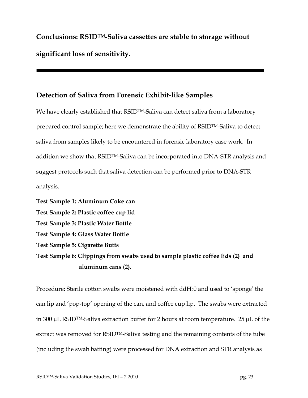**Conclusions: RSIDTM-Saliva cassettes are stable to storage without significant loss of sensitivity.** 

## **Detection of Saliva from Forensic Exhibit-like Samples**

We have clearly established that RSID<sup>TM</sup>-Saliva can detect saliva from a laboratory prepared control sample; here we demonstrate the ability of RSIDTM-Saliva to detect saliva from samples likely to be encountered in forensic laboratory case work. In addition we show that RSIDTM-Saliva can be incorporated into DNA-STR analysis and suggest protocols such that saliva detection can be performed prior to DNA-STR analysis.

**Test Sample 1: Aluminum Coke can Test Sample 2: Plastic coffee cup lid Test Sample 3: Plastic Water Bottle Test Sample 4: Glass Water Bottle Test Sample 5: Cigarette Butts Test Sample 6: Clippings from swabs used to sample plastic coffee lids (2) and aluminum cans (2).** 

Procedure: Sterile cotton swabs were moistened with ddH20 and used to 'sponge' the can lip and 'pop-top' opening of the can, and coffee cup lip. The swabs were extracted in 300  $\mu$ L RSID<sup>TM</sup>-Saliva extraction buffer for 2 hours at room temperature. 25  $\mu$ L of the extract was removed for RSIDTM-Saliva testing and the remaining contents of the tube (including the swab batting) were processed for DNA extraction and STR analysis as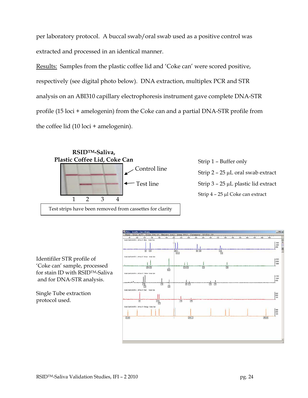per laboratory protocol. A buccal swab/oral swab used as a positive control was extracted and processed in an identical manner.

Results: Samples from the plastic coffee lid and 'Coke can' were scored positive, respectively (see digital photo below). DNA extraction, multiplex PCR and STR analysis on an ABI310 capillary electrophoresis instrument gave complete DNA-STR profile (15 loci + amelogenin) from the Coke can and a partial DNA-STR profile from the coffee lid (10 loci + amelogenin).



Control line  $\frac{1}{2}$  – 25 µL oral swab extract Test line Strip 3 – 25 µL plastic lid extract Strip 4 – 25 µl Coke can extract

Identifiler STR profile of 'Coke can' sample, processed for stain ID with RSIDTM-Saliva and for DNA-STR analysis.

Single Tube extraction protocol used.

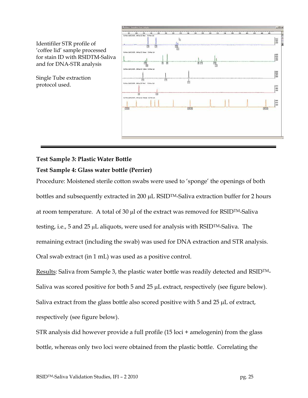

### **Test Sample 3: Plastic Water Bottle**

### **Test Sample 4: Glass water bottle (Perrier)**

Procedure: Moistened sterile cotton swabs were used to 'sponge' the openings of both bottles and subsequently extracted in 200  $\mu$ L RSID<sup>TM</sup>-Saliva extraction buffer for 2 hours at room temperature. A total of 30  $\mu$ l of the extract was removed for RSID<sup>TM</sup>-Saliva testing, i.e., 5 and 25 µL aliquots, were used for analysis with RSIDTM-Saliva. The remaining extract (including the swab) was used for DNA extraction and STR analysis. Oral swab extract (in 1 mL) was used as a positive control.

Results: Saliva from Sample 3, the plastic water bottle was readily detected and RSIDTM-Saliva was scored positive for both 5 and 25  $\mu$ L extract, respectively (see figure below). Saliva extract from the glass bottle also scored positive with 5 and 25  $\mu$ L of extract, respectively (see figure below).

STR analysis did however provide a full profile (15 loci + amelogenin) from the glass bottle, whereas only two loci were obtained from the plastic bottle. Correlating the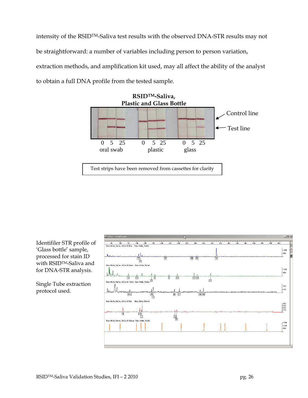intensity of the RSIDTM-Saliva test results with the observed DNA-STR results may not be straightforward: a number of variables including person to person variation, extraction methods, and amplification kit used, may all affect the ability of the analyst to obtain a full DNA profile from the tested sample.



Identifiler STR profile of 'Glass bottle' sample, processed for stain ID with RSIDTM-Saliva and for DNA-STR analysis.

Single Tube extraction protocol used.

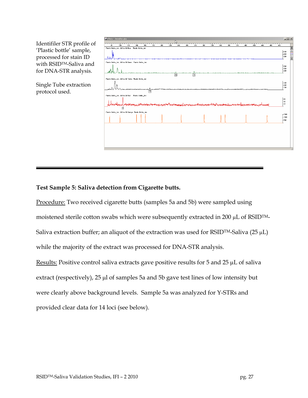Identifiler STR profile of 'Plastic bottle' sample, processed for stain ID with RSIDTM-Saliva and for DNA-STR analysis.

Single Tube extraction protocol used.

| <b>判Plots - Jennifer.gta</b>                         |     |     |                    |     |     |     |     |     |          |          |                                                                                                                |     |                 |     |     |     |     |     |     |                                   | $-12x$        |
|------------------------------------------------------|-----|-----|--------------------|-----|-----|-----|-----|-----|----------|----------|----------------------------------------------------------------------------------------------------------------|-----|-----------------|-----|-----|-----|-----|-----|-----|-----------------------------------|---------------|
| 80                                                   | 100 | 120 | 140                | 160 | 180 | 200 | 220 | 240 | $_{260}$ | ᠇<br>280 | $\frac{1}{300}$                                                                                                | 320 | $\frac{1}{340}$ | 360 | 380 | 400 | 420 | 440 | 460 | $rac{1}{480}$                     |               |
| Plastic Bottle_JenM.fsa 30 Blue                      |     |     | Plastic Bottle Jen |     |     |     |     |     |          |          |                                                                                                                |     |                 |     |     |     |     |     |     |                                   |               |
|                                                      |     |     |                    |     |     |     |     |     |          |          |                                                                                                                |     |                 |     |     |     |     |     |     | -600<br>F400<br>L <sub>200</sub>  | m  w X  2  EB |
| Plastic Bottle_JenM.fsa 30 Green Plastic Bottle_Jen  |     |     |                    |     |     |     |     |     |          |          |                                                                                                                |     |                 |     |     |     |     |     |     |                                   |               |
|                                                      |     |     |                    |     |     |     |     | 商   |          | 面        |                                                                                                                |     |                 |     |     |     |     |     |     | F600<br>L <sub>400</sub><br>F-200 |               |
| Plastic Bottle_JenM.fsa 30 Yellow Plastic Bottle_Jen |     |     |                    |     |     |     |     |     |          |          |                                                                                                                |     |                 |     |     |     |     |     |     |                                   |               |
|                                                      |     |     |                    |     |     |     |     |     |          |          |                                                                                                                |     |                 |     |     |     |     |     |     | F300<br>F-200<br>-100             |               |
|                                                      |     |     |                    |     | 面   |     |     |     |          |          |                                                                                                                |     |                 |     |     |     |     |     |     |                                   |               |
| Plastic Bottle_JenM.fsa 30 Red Plastic Bottle_Jen    | 囟   |     |                    |     |     |     |     |     |          |          | mpathpangan kamanakan termasukan pertama pang kamang dapang kaman kaman katapan kamanakan kaman katakan patapa |     |                 |     |     |     |     |     |     | ⊧sք<br>$-40$<br>$L_{20}$          |               |
| Plastic Bottle_JenM.fsa 30 Orange Plastic Bottle_Jen |     |     |                    |     |     |     |     |     |          |          |                                                                                                                |     |                 |     |     |     |     |     |     |                                   |               |
|                                                      |     |     |                    |     |     |     |     |     |          |          |                                                                                                                |     |                 |     |     |     |     |     |     | $-1500$<br>-1000<br>$-500$        |               |
|                                                      |     |     |                    |     |     |     |     |     |          |          |                                                                                                                |     |                 |     |     |     |     |     |     |                                   |               |
|                                                      |     |     |                    |     |     |     |     |     |          |          |                                                                                                                |     |                 |     |     |     |     |     |     |                                   |               |
|                                                      |     |     |                    |     |     |     |     |     |          |          |                                                                                                                |     |                 |     |     |     |     |     |     |                                   |               |
|                                                      |     |     |                    |     |     |     |     |     |          |          |                                                                                                                |     |                 |     |     |     |     |     |     |                                   |               |

### **Test Sample 5: Saliva detection from Cigarette butts.**

Procedure: Two received cigarette butts (samples 5a and 5b) were sampled using moistened sterile cotton swabs which were subsequently extracted in 200 µL of RSID<sup>TM</sup>-Saliva extraction buffer; an aliquot of the extraction was used for RSID<sup>TM</sup>-Saliva (25  $\mu$ L) while the majority of the extract was processed for DNA-STR analysis. Results: Positive control saliva extracts gave positive results for 5 and 25 µL of saliva extract (respectively), 25 µl of samples 5a and 5b gave test lines of low intensity but were clearly above background levels. Sample 5a was analyzed for Y-STRs and provided clear data for 14 loci (see below).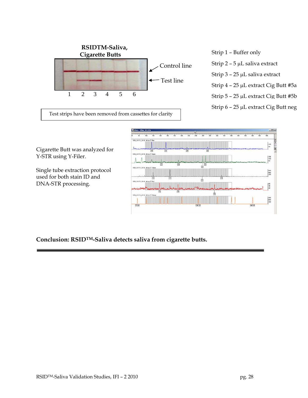

- 
- Control line Strip  $2 5 \mu$ L saliva extract
	- Strip 3 25 µL saliva extract
	- Strip 4 25 µL extract Cig Butt #5a
	-
	- Strip 6 25 µL extract Cig Butt neg

Test strips have been removed from cassettes for clarity

Cigarette Butt was analyzed for Y-STR using Y-Filer.

Single tube extraction protocol used for both stain ID and DNA-STR processing.



**Conclusion: RSIDTM-Saliva detects saliva from cigarette butts.**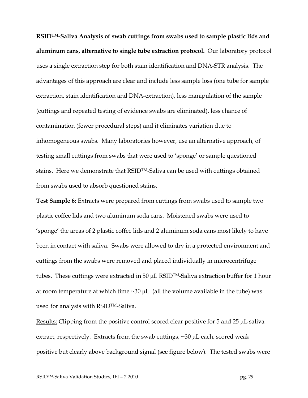**RSIDTM-Saliva Analysis of swab cuttings from swabs used to sample plastic lids and aluminum cans, alternative to single tube extraction protocol.** Our laboratory protocol uses a single extraction step for both stain identification and DNA-STR analysis. The advantages of this approach are clear and include less sample loss (one tube for sample extraction, stain identification and DNA-extraction), less manipulation of the sample (cuttings and repeated testing of evidence swabs are eliminated), less chance of contamination (fewer procedural steps) and it eliminates variation due to inhomogeneous swabs. Many laboratories however, use an alternative approach, of testing small cuttings from swabs that were used to 'sponge' or sample questioned stains. Here we demonstrate that RSIDTM-Saliva can be used with cuttings obtained from swabs used to absorb questioned stains.

**Test Sample 6:** Extracts were prepared from cuttings from swabs used to sample two plastic coffee lids and two aluminum soda cans. Moistened swabs were used to 'sponge' the areas of 2 plastic coffee lids and 2 aluminum soda cans most likely to have been in contact with saliva. Swabs were allowed to dry in a protected environment and cuttings from the swabs were removed and placed individually in microcentrifuge tubes. These cuttings were extracted in 50  $\mu$ L RSID<sup>TM</sup>-Saliva extraction buffer for 1 hour at room temperature at which time  $\sim 30 \mu$ . (all the volume available in the tube) was used for analysis with RSIDTM-Saliva.

Results: Clipping from the positive control scored clear positive for 5 and 25 µL saliva extract, respectively. Extracts from the swab cuttings, ~30 µL each, scored weak positive but clearly above background signal (see figure below). The tested swabs were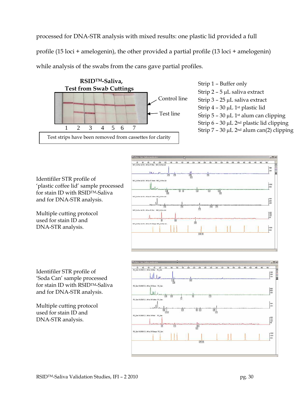processed for DNA-STR analysis with mixed results: one plastic lid provided a full profile (15 loci + amelogenin), the other provided a partial profile (13 loci + amelogenin) while analysis of the swabs from the cans gave partial profiles.



Strip 2 – 5 µL saliva extract Control line Strip  $3 - 25 \mu L$  saliva extract Strip 4 – 30 µL 1<sup>st</sup> plastic lid Test line Strip  $5 - 30 \mu L$  1st alum can clipping Strip  $6 - 30 \mu L$  2<sup>nd</sup> plastic lid clipping

Identifiler STR profile of 'plastic coffee lid' sample processed for stain ID with RSIDTM-Saliva and for DNA-STR analysis.

Multiple cutting protocol used for stain ID and DNA-STR analysis.



Identifiler STR profile of 'Soda Can' sample processed for stain ID with RSIDTM-Saliva and for DNA-STR analysis.

Multiple cutting protocol used for stain ID and DNA-STR analysis.

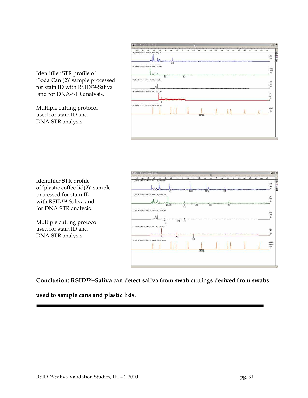

Identifiler STR profile of 'Soda Can (2)' sample processed for stain ID with RSIDTM-Saliva and for DNA-STR analysis.

Multiple cutting protocol used for stain ID and DNA-STR analysis.

Identifiler STR profile of 'plastic coffee lid(2)' sample processed for stain ID with RSIDTM-Saliva and for DNA-STR analysis.

Multiple cutting protocol used for stain ID and DNA-STR analysis.



**Conclusion: RSIDTM-Saliva can detect saliva from swab cuttings derived from swabs** 

**used to sample cans and plastic lids.**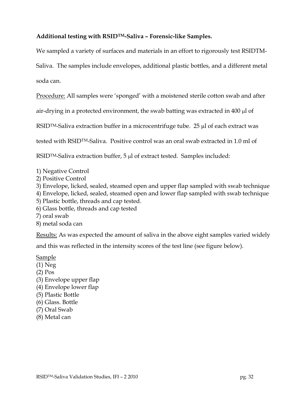## **Additional testing with RSIDTM-Saliva – Forensic-like Samples.**

We sampled a variety of surfaces and materials in an effort to rigorously test RSIDTM-

Saliva. The samples include envelopes, additional plastic bottles, and a different metal soda can.

Procedure: All samples were 'sponged' with a moistened sterile cotton swab and after

air-drying in a protected environment, the swab batting was extracted in 400 µl of

RSID<sup>TM</sup>-Saliva extraction buffer in a microcentrifuge tube. 25 µl of each extract was

tested with RSIDTM-Saliva. Positive control was an oral swab extracted in 1.0 ml of

RSID<sup>TM</sup>-Saliva extraction buffer, 5 µl of extract tested. Samples included:

1) Negative Control

2) Positive Control

3) Envelope, licked, sealed, steamed open and upper flap sampled with swab technique

4) Envelope, licked, sealed, steamed open and lower flap sampled with swab technique

- 5) Plastic bottle, threads and cap tested.
- 6) Glass bottle, threads and cap tested
- 7) oral swab
- 8) metal soda can

Results: As was expected the amount of saliva in the above eight samples varied widely

and this was reflected in the intensity scores of the test line (see figure below).

Sample

- (1) Neg
- (2) Pos
- (3) Envelope upper flap
- (4) Envelope lower flap
- (5) Plastic Bottle
- (6) Glass. Bottle
- (7) Oral Swab
- (8) Metal can